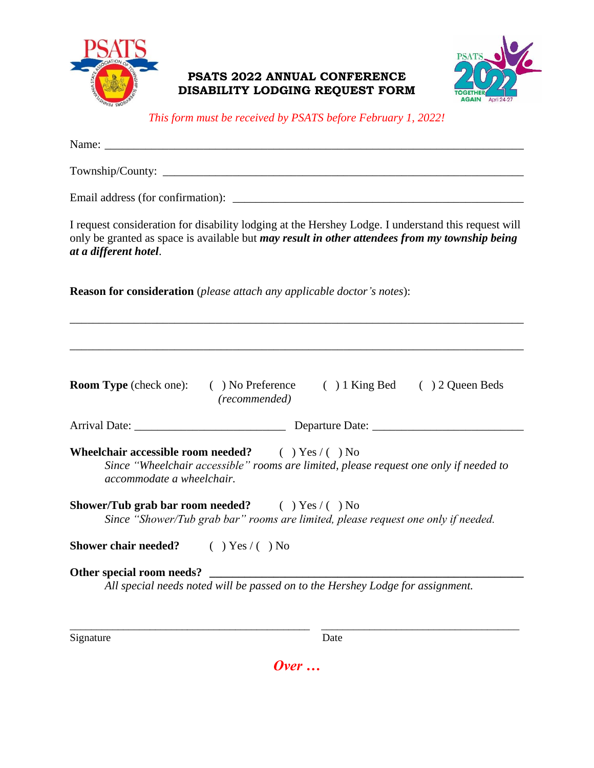

## **PSATS 2022 ANNUAL CONFERENCE DISABILITY LODGING REQUEST FORM**



*This form must be received by PSATS before February 1, 2022!*

| Name:                                                                                                                                                                                                                                 |  |
|---------------------------------------------------------------------------------------------------------------------------------------------------------------------------------------------------------------------------------------|--|
|                                                                                                                                                                                                                                       |  |
|                                                                                                                                                                                                                                       |  |
| I request consideration for disability lodging at the Hershey Lodge. I understand this request will<br>only be granted as space is available but <i>may result in other attendees from my township being</i><br>at a different hotel. |  |
| <b>Reason for consideration</b> (please attach any applicable doctor's notes):                                                                                                                                                        |  |
|                                                                                                                                                                                                                                       |  |
| <b>Room Type</b> (check one): (b) No Preference (c) 1 King Bed (c) 2 Queen Beds<br>(recommended)                                                                                                                                      |  |
|                                                                                                                                                                                                                                       |  |
| <b>Wheelchair accessible room needed?</b> $( ) Yes / ( ) No$<br>Since "Wheelchair accessible" rooms are limited, please request one only if needed to<br>accommodate a wheelchair.                                                    |  |
| <b>Shower/Tub grab bar room needed?</b> $( ) Yes / ( ) No$<br>Since "Shower/Tub grab bar" rooms are limited, please request one only if needed.                                                                                       |  |
| <b>Shower chair needed?</b> $( ) Yes / ( ) No$                                                                                                                                                                                        |  |
| Other special room needs?<br><u> Alexandria de la contrada de la contrada de la contrada de la contrada de la contrada de la contrada de la c</u><br>All special needs noted will be passed on to the Hershey Lodge for assignment.   |  |

Signature Date

*Over …*

\_\_\_\_\_\_\_\_\_\_\_\_\_\_\_\_\_\_\_\_\_\_\_\_\_\_\_\_\_\_\_\_\_\_\_\_\_\_\_\_\_\_\_\_\_ \_\_\_\_\_\_\_\_\_\_\_\_\_\_\_\_\_\_\_\_\_\_\_\_\_\_\_\_\_\_\_\_\_\_\_\_\_